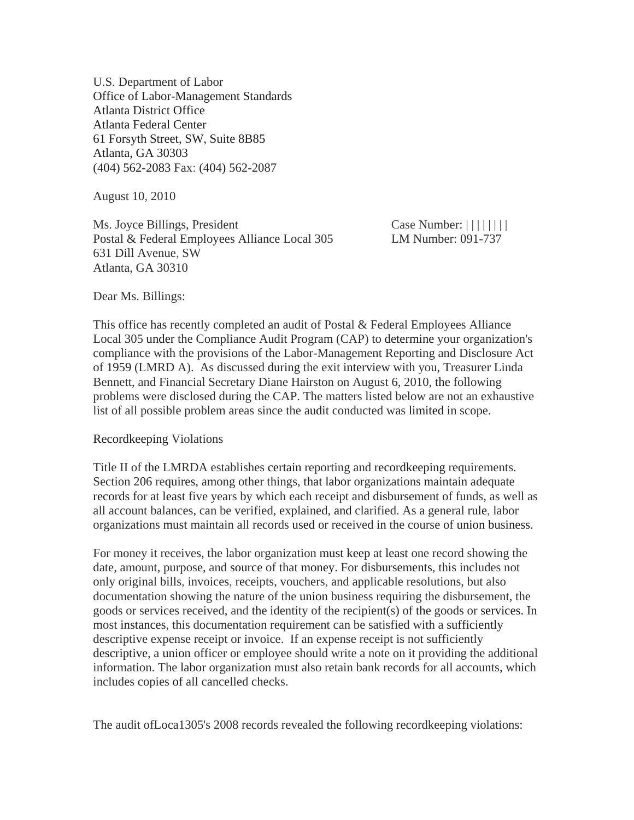U.S. Department of Labor Office of Labor-Management Standards Atlanta District Office Atlanta Federal Center 61 Forsyth Street, SW, Suite 8B85 Atlanta, GA 30303 (404) 562-2083 Fax: (404) 562-2087

August 10, 2010

Ms. Joyce Billings, President Case Number:  $|| \cdot || || || ||$ Postal & Federal Employees Alliance Local 305 LM Number: 091-737 631 Dill Avenue, SW Atlanta, GA 30310

Dear Ms. Billings:

This office has recently completed an audit of Postal & Federal Employees Alliance Local 305 under the Compliance Audit Program (CAP) to determine your organization's compliance with the provisions of the Labor-Management Reporting and Disclosure Act of 1959 (LMRD A). As discussed during the exit interview with you, Treasurer Linda Bennett, and Financial Secretary Diane Hairston on August 6, 2010, the following problems were disclosed during the CAP. The matters listed below are not an exhaustive list of all possible problem areas since the audit conducted was limited in scope.

#### Recordkeeping Violations

Title II of the LMRDA establishes certain reporting and recordkeeping requirements. Section 206 requires, among other things, that labor organizations maintain adequate records for at least five years by which each receipt and disbursement of funds, as well as all account balances, can be verified, explained, and clarified. As a general rule, labor organizations must maintain all records used or received in the course of union business.

For money it receives, the labor organization must keep at least one record showing the date, amount, purpose, and source of that money. For disbursements, this includes not only original bills, invoices, receipts, vouchers, and applicable resolutions, but also documentation showing the nature of the union business requiring the disbursement, the goods or services received, and the identity of the recipient(s) of the goods or services. In most instances, this documentation requirement can be satisfied with a sufficiently descriptive expense receipt or invoice. If an expense receipt is not sufficiently descriptive, a union officer or employee should write a note on it providing the additional information. The labor organization must also retain bank records for all accounts, which includes copies of all cancelled checks.

The audit ofLoca1305's 2008 records revealed the following recordkeeping violations: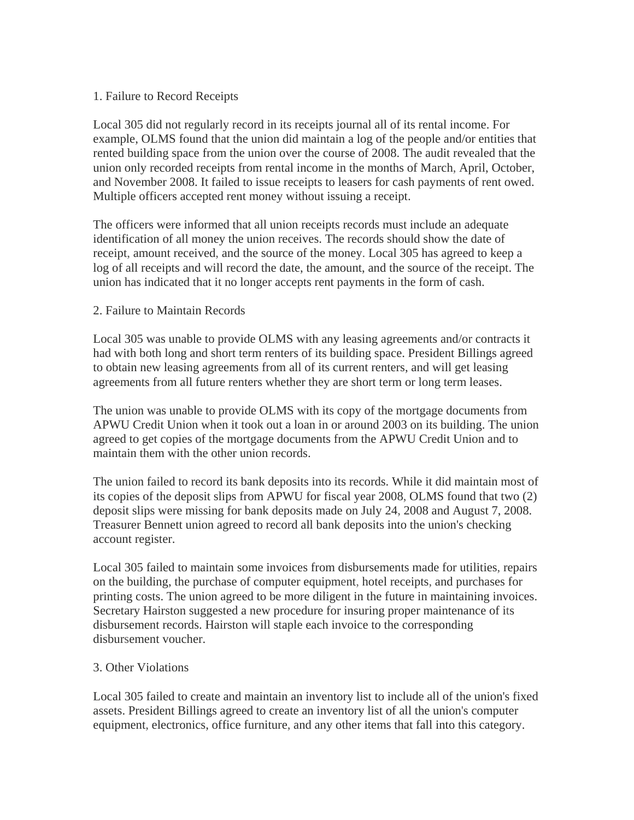# 1. Failure to Record Receipts

Local 305 did not regularly record in its receipts journal all of its rental income. For example, OLMS found that the union did maintain a log of the people and/or entities that rented building space from the union over the course of 2008. The audit revealed that the union only recorded receipts from rental income in the months of March, April, October, and November 2008. It failed to issue receipts to leasers for cash payments of rent owed. Multiple officers accepted rent money without issuing a receipt.

The officers were informed that all union receipts records must include an adequate identification of all money the union receives. The records should show the date of receipt, amount received, and the source of the money. Local 305 has agreed to keep a log of all receipts and will record the date, the amount, and the source of the receipt. The union has indicated that it no longer accepts rent payments in the form of cash.

# 2. Failure to Maintain Records

Local 305 was unable to provide OLMS with any leasing agreements and/or contracts it had with both long and short term renters of its building space. President Billings agreed to obtain new leasing agreements from all of its current renters, and will get leasing agreements from all future renters whether they are short term or long term leases.

The union was unable to provide OLMS with its copy of the mortgage documents from APWU Credit Union when it took out a loan in or around 2003 on its building. The union agreed to get copies of the mortgage documents from the APWU Credit Union and to maintain them with the other union records.

The union failed to record its bank deposits into its records. While it did maintain most of its copies of the deposit slips from APWU for fiscal year 2008, OLMS found that two (2) deposit slips were missing for bank deposits made on July 24, 2008 and August 7, 2008. Treasurer Bennett union agreed to record all bank deposits into the union's checking account register.

Local 305 failed to maintain some invoices from disbursements made for utilities, repairs on the building, the purchase of computer equipment, hotel receipts, and purchases for printing costs. The union agreed to be more diligent in the future in maintaining invoices. Secretary Hairston suggested a new procedure for insuring proper maintenance of its disbursement records. Hairston will staple each invoice to the corresponding disbursement voucher.

## 3. Other Violations

Local 305 failed to create and maintain an inventory list to include all of the union's fixed assets. President Billings agreed to create an inventory list of all the union's computer equipment, electronics, office furniture, and any other items that fall into this category.